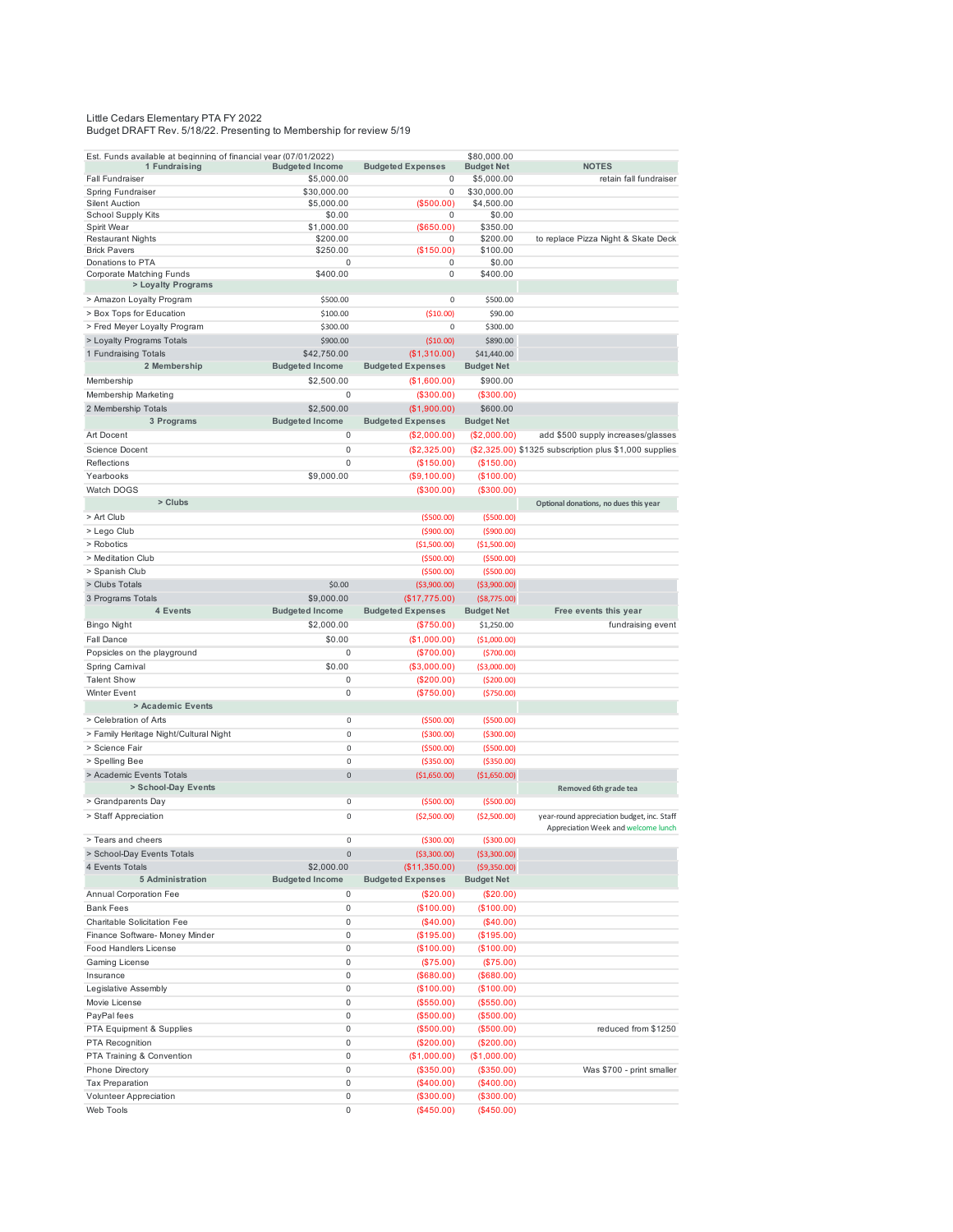## Little Cedars Elementary PTA FY 2022 Budget DRAFT Rev. 5/18/22. Presenting to Membership for review 5/19

| Est. Funds available at beginning of financial year (07/01/2022)<br>1 Fundraising | <b>Budgeted Income</b> | <b>Budgeted Expenses</b>                 | \$80,000.00<br><b>Budget Net</b> | <b>NOTES</b>                                           |
|-----------------------------------------------------------------------------------|------------------------|------------------------------------------|----------------------------------|--------------------------------------------------------|
| <b>Fall Fundraiser</b>                                                            | \$5,000.00             | 0                                        | \$5,000.00                       | retain fall fundraiser                                 |
| Spring Fundraiser                                                                 | \$30,000.00            | 0                                        | \$30,000.00                      |                                                        |
| <b>Silent Auction</b>                                                             | \$5,000.00             | (\$500.00)                               | \$4,500.00                       |                                                        |
| School Supply Kits                                                                | \$0.00                 | 0                                        | \$0.00                           |                                                        |
| Spirit Wear                                                                       | \$1,000.00             | (\$650.00)                               | \$350.00                         |                                                        |
| <b>Restaurant Nights</b>                                                          | \$200.00               | 0                                        | \$200.00                         | to replace Pizza Night & Skate Deck                    |
| <b>Brick Pavers</b><br>Donations to PTA                                           | \$250.00<br>0          | (\$150.00)<br>0                          | \$100.00<br>\$0.00               |                                                        |
| Corporate Matching Funds                                                          | \$400.00               | 0                                        | \$400.00                         |                                                        |
| > Loyalty Programs                                                                |                        |                                          |                                  |                                                        |
| > Amazon Loyalty Program                                                          | \$500.00               | 0                                        | \$500.00                         |                                                        |
| > Box Tops for Education                                                          | \$100.00               | ( \$10.00)                               | \$90.00                          |                                                        |
| > Fred Meyer Loyalty Program                                                      | \$300.00               | 0                                        | \$300.00                         |                                                        |
| > Loyalty Programs Totals                                                         | \$900.00               | ( \$10.00)                               | \$890.00                         |                                                        |
| 1 Fundraising Totals                                                              | \$42,750.00            | (\$1,310.00)                             | \$41,440.00                      |                                                        |
| 2 Membership                                                                      | <b>Budgeted Income</b> | <b>Budgeted Expenses</b>                 | <b>Budget Net</b>                |                                                        |
| Membership                                                                        | \$2,500.00             | (\$1,600.00)                             | \$900.00                         |                                                        |
| Membership Marketing                                                              | 0                      | (\$300.00)                               | (\$300.00)                       |                                                        |
|                                                                                   | \$2,500.00             |                                          |                                  |                                                        |
| 2 Membership Totals<br>3 Programs                                                 | <b>Budgeted Income</b> | (\$1,900.00)<br><b>Budgeted Expenses</b> | \$600.00<br><b>Budget Net</b>    |                                                        |
|                                                                                   |                        |                                          |                                  |                                                        |
| Art Docent                                                                        | 0                      | (\$2,000.00)                             | (\$2,000.00)                     | add \$500 supply increases/glasses                     |
| <b>Science Docent</b>                                                             | 0                      | (\$2,325.00)                             |                                  | (\$2,325.00) \$1325 subscription plus \$1,000 supplies |
| Reflections                                                                       | 0                      | (\$150.00)                               | (\$150.00)                       |                                                        |
| Yearbooks                                                                         | \$9,000.00             | (\$9,100.00)                             | (\$100.00)                       |                                                        |
| Watch DOGS                                                                        |                        | (\$300.00)                               | (\$300.00)                       |                                                        |
| > Clubs                                                                           |                        |                                          |                                  | Optional donations, no dues this year                  |
| > Art Club                                                                        |                        | ( \$500.00)                              | ( \$500.00)                      |                                                        |
| > Lego Club                                                                       |                        | (\$900.00)                               | (\$900.00)                       |                                                        |
| > Robotics                                                                        |                        | (\$1,500.00)                             | ( \$1,500.00)                    |                                                        |
| > Meditation Club                                                                 |                        | ( \$500.00)                              | ( \$500.00)                      |                                                        |
| > Spanish Club                                                                    |                        | ( \$500.00)                              | ( \$500.00]                      |                                                        |
| > Clubs Totals                                                                    | \$0.00                 | ( \$3,900.00)                            | ( \$3,900.00)                    |                                                        |
| 3 Programs Totals                                                                 | \$9,000.00             | (\$17,775.00)                            | ( \$8,775.00)                    |                                                        |
| 4 Events                                                                          | <b>Budgeted Income</b> | <b>Budgeted Expenses</b>                 | <b>Budget Net</b>                | Free events this year                                  |
| Bingo Night                                                                       | \$2,000.00             | $(\$750.00)$                             | \$1,250.00                       | fundraising event                                      |
| Fall Dance                                                                        | \$0.00                 | (\$1,000.00)                             | (\$1,000.00)                     |                                                        |
| Popsicles on the playground                                                       | 0                      | (\$700.00)                               | (5700.00)                        |                                                        |
| Spring Carnival                                                                   | \$0.00                 | (\$3,000.00)                             | ( \$3,000.00)                    |                                                        |
| <b>Talent Show</b>                                                                | 0                      | $(\$200.00)$                             | (\$200.00)                       |                                                        |
| Winter Event                                                                      | 0                      | (\$750.00)                               | (\$750.00)                       |                                                        |
| > Academic Events                                                                 |                        |                                          |                                  |                                                        |
| > Celebration of Arts                                                             | 0                      | ( \$500.00)                              | ( \$500.00]                      |                                                        |
| > Family Heritage Night/Cultural Night                                            | 0                      | ( \$300.00)                              | ( \$300.00)                      |                                                        |
| > Science Fair                                                                    | 0                      | ( \$500.00)                              | ( \$500.00)                      |                                                        |
| > Spelling Bee                                                                    | 0                      | ( \$350.00)                              | ( \$350.00)                      |                                                        |
| > Academic Events Totals                                                          | $\mathbf 0$            | (\$1,650.00)                             | (\$1,650.00)                     |                                                        |
| > School-Day Events                                                               |                        |                                          |                                  | Removed 6th grade tea                                  |
| > Grandparents Day                                                                | 0                      | ( \$500.00)                              | ( \$500.00)                      |                                                        |
| > Staff Appreciation                                                              | 0                      | ( \$2,500.00)                            | ( \$2,500.00)                    | year-round appreciation budget, inc. Staff             |
|                                                                                   |                        |                                          |                                  | Appreciation Week and welcome lunch                    |
| > Tears and cheers                                                                | 0                      | ( \$300.00)                              | ( \$300.00)                      |                                                        |
| > School-Day Events Totals                                                        | 0                      | ( \$3,300.00)                            | ( \$3,300.00)                    |                                                        |
| 4 Events Totals                                                                   | \$2,000.00             | (\$11,350.00)                            | ( \$9,350.00)                    |                                                        |
| 5 Administration                                                                  | <b>Budgeted Income</b> | <b>Budgeted Expenses</b>                 | <b>Budget Net</b>                |                                                        |
| Annual Corporation Fee                                                            | 0                      | (\$20.00)                                | (\$20.00)                        |                                                        |
| <b>Bank Fees</b>                                                                  | 0                      | (\$100.00)                               | (\$100.00)                       |                                                        |
| Charitable Solicitation Fee                                                       | 0                      | (\$40.00)                                | (\$40.00)                        |                                                        |
| Finance Software- Money Minder                                                    | 0                      | (\$195.00)                               | (\$195.00)                       |                                                        |
| Food Handlers License                                                             | 0                      | (\$100.00)                               | (\$100.00)                       |                                                        |
| Gaming License                                                                    | 0                      | (\$75.00)                                | (\$75.00)                        |                                                        |
| Insurance                                                                         | 0                      | (\$680.00)                               | (\$680.00)                       |                                                        |
| Legislative Assembly                                                              | 0                      | (\$100.00)                               | (\$100.00)                       |                                                        |
| Movie License                                                                     | 0                      | (\$550.00)                               | (\$550.00)                       |                                                        |
| PayPal fees                                                                       | 0                      | (\$500.00)                               | (\$500.00)                       |                                                        |
| PTA Equipment & Supplies                                                          | 0                      | (\$500.00)                               | (\$500.00)                       | reduced from \$1250                                    |
| PTA Recognition                                                                   | 0                      | (\$200.00)                               | (\$200.00)                       |                                                        |
| PTA Training & Convention                                                         | 0                      | (\$1,000.00)                             | (\$1,000.00)                     |                                                        |
| Phone Directory                                                                   | 0                      | (\$350.00)                               | (\$350.00)                       | Was \$700 - print smaller                              |
| <b>Tax Preparation</b>                                                            |                        |                                          |                                  |                                                        |
|                                                                                   | 0                      | (\$400.00)                               | (\$400.00)                       |                                                        |
| Volunteer Appreciation                                                            | 0                      | (\$300.00)                               | (\$300.00)                       |                                                        |